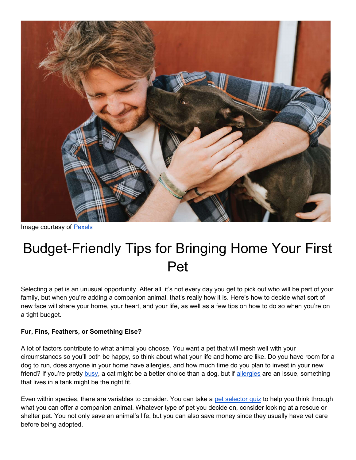

Image courtesy of Pexels

# Budget-Friendly Tips for Bringing Home Your First Pet

Selecting a pet is an unusual opportunity. After all, it's not every day you get to pick out who will be part of your family, but when you're adding a companion animal, that's really how it is. Here's how to decide what sort of new face will share your home, your heart, and your life, as well as a few tips on how to do so when you're on a tight budget.

#### Fur, Fins, Feathers, or Something Else?

A lot of factors contribute to what animal you choose. You want a pet that will mesh well with your circumstances so you'll both be happy, so think about what your life and home are like. Do you have room for a dog to run, does anyone in your home have allergies, and how much time do you plan to invest in your new friend? If you're pretty busy, a cat might be a better choice than a dog, but if allergies are an issue, something that lives in a tank might be the right fit.

Even within species, there are variables to consider. You can take a pet selector quiz to help you think through what you can offer a companion animal. Whatever type of pet you decide on, consider looking at a rescue or shelter pet. You not only save an animal's life, but you can also save money since they usually have vet care before being adopted.